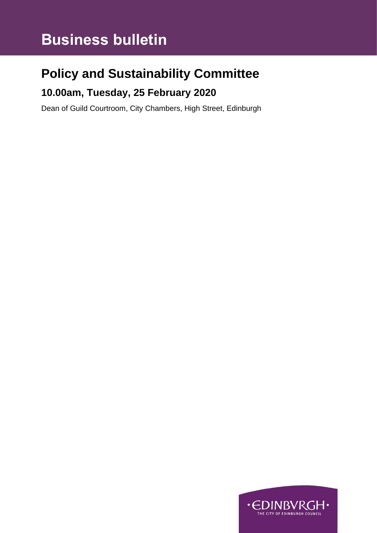# **Business bulletin**

## **Policy and Sustainability Committee**

### **10.00am, Tuesday, 25 February 2020**

Dean of Guild Courtroom, City Chambers, High Street, Edinburgh

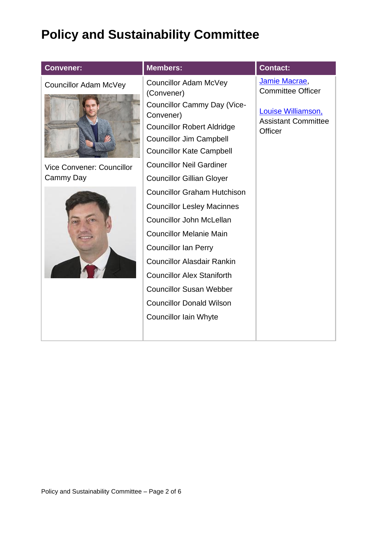## **Policy and Sustainability Committee**

| <b>Convener:</b>                              | <b>Members:</b>                                                                                                                                                                                                                                                                                                                                            | <b>Contact:</b>                                                                                                 |
|-----------------------------------------------|------------------------------------------------------------------------------------------------------------------------------------------------------------------------------------------------------------------------------------------------------------------------------------------------------------------------------------------------------------|-----------------------------------------------------------------------------------------------------------------|
| <b>Councillor Adam McVey</b>                  | <b>Councillor Adam McVey</b><br>(Convener)<br><b>Councillor Cammy Day (Vice-</b><br>Convener)<br><b>Councillor Robert Aldridge</b><br><b>Councillor Jim Campbell</b><br><b>Councillor Kate Campbell</b><br><b>Councillor Neil Gardiner</b>                                                                                                                 | Jamie Macrae,<br><b>Committee Officer</b><br>Louise Williamson,<br><b>Assistant Committee</b><br><b>Officer</b> |
| <b>Vice Convener: Councillor</b><br>Cammy Day | <b>Councillor Gillian Gloyer</b>                                                                                                                                                                                                                                                                                                                           |                                                                                                                 |
|                                               | <b>Councillor Graham Hutchison</b><br><b>Councillor Lesley Macinnes</b><br><b>Councillor John McLellan</b><br><b>Councillor Melanie Main</b><br><b>Councillor Ian Perry</b><br><b>Councillor Alasdair Rankin</b><br><b>Councillor Alex Staniforth</b><br><b>Councillor Susan Webber</b><br><b>Councillor Donald Wilson</b><br><b>Councillor Iain Whyte</b> |                                                                                                                 |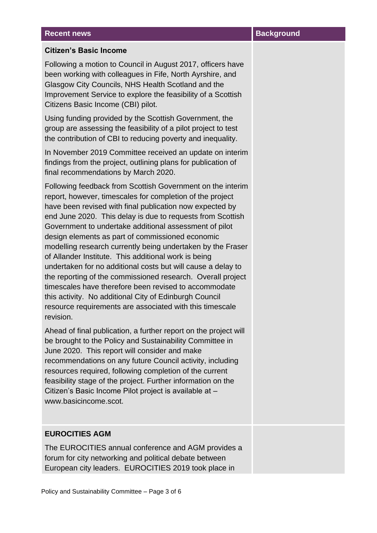#### **Recent news Background**

#### **Citizen's Basic Income**

Following a motion to Council in August 2017, officers have been working with colleagues in Fife, North Ayrshire, and Glasgow City Councils, NHS Health Scotland and the Improvement Service to explore the feasibility of a Scottish Citizens Basic Income (CBI) pilot.

Using funding provided by the Scottish Government, the group are assessing the feasibility of a pilot project to test the contribution of CBI to reducing poverty and inequality.

In November 2019 Committee received an update on interim findings from the project, outlining plans for publication of final recommendations by March 2020.

Following feedback from Scottish Government on the interim report, however, timescales for completion of the project have been revised with final publication now expected by end June 2020. This delay is due to requests from Scottish Government to undertake additional assessment of pilot design elements as part of commissioned economic modelling research currently being undertaken by the Fraser of Allander Institute. This additional work is being undertaken for no additional costs but will cause a delay to the reporting of the commissioned research. Overall project timescales have therefore been revised to accommodate this activity. No additional City of Edinburgh Council resource requirements are associated with this timescale revision.

Ahead of final publication, a further report on the project will be brought to the Policy and Sustainability Committee in June 2020. This report will consider and make recommendations on any future Council activity, including resources required, following completion of the current feasibility stage of the project. Further information on the Citizen's Basic Income Pilot project is available at – www.basicincome.scot.

#### **EUROCITIES AGM**

The EUROCITIES annual conference and AGM provides a forum for city networking and political debate between European city leaders. EUROCITIES 2019 took place in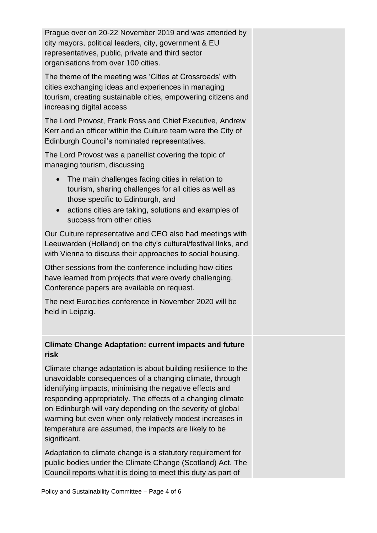Prague over on 20-22 November 2019 and was attended by city mayors, political leaders, city, government & EU representatives, public, private and third sector organisations from over 100 cities.

The theme of the meeting was 'Cities at Crossroads' with cities exchanging ideas and experiences in managing tourism, creating sustainable cities, empowering citizens and increasing digital access

The Lord Provost, Frank Ross and Chief Executive, Andrew Kerr and an officer within the Culture team were the City of Edinburgh Council's nominated representatives.

The Lord Provost was a panellist covering the topic of managing tourism, discussing

- The main challenges facing cities in relation to tourism, sharing challenges for all cities as well as those specific to Edinburgh, and
- actions cities are taking, solutions and examples of success from other cities

Our Culture representative and CEO also had meetings with Leeuwarden (Holland) on the city's cultural/festival links, and with Vienna to discuss their approaches to social housing.

Other sessions from the conference including how cities have learned from projects that were overly challenging. Conference papers are available on request.

The next Eurocities conference in November 2020 will be held in Leipzig.

#### **Climate Change Adaptation: current impacts and future risk**

Climate change adaptation is about building resilience to the unavoidable consequences of a changing climate, through identifying impacts, minimising the negative effects and responding appropriately. The effects of a changing climate on Edinburgh will vary depending on the severity of global warming but even when only relatively modest increases in temperature are assumed, the impacts are likely to be significant.

Adaptation to climate change is a statutory requirement for public bodies under the Climate Change (Scotland) Act. The Council reports what it is doing to meet this duty as part of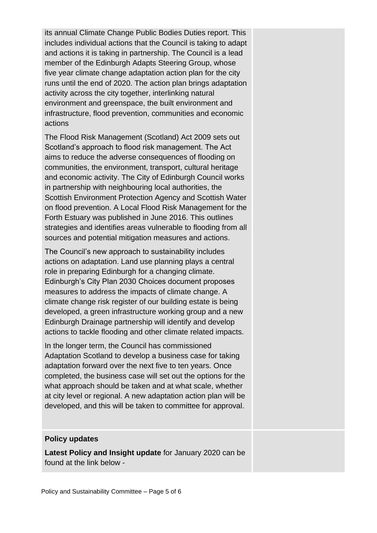its annual Climate Change Public Bodies Duties report. This includes individual actions that the Council is taking to adapt and actions it is taking in partnership. The Council is a lead member of the Edinburgh Adapts Steering Group, whose five year climate change adaptation action plan for the city runs until the end of 2020. The action plan brings adaptation activity across the city together, interlinking natural environment and greenspace, the built environment and infrastructure, flood prevention, communities and economic actions

The Flood Risk Management (Scotland) Act 2009 sets out Scotland's approach to flood risk management. The Act aims to reduce the adverse consequences of flooding on communities, the environment, transport, cultural heritage and economic activity. The City of Edinburgh Council works in partnership with neighbouring local authorities, the Scottish Environment Protection Agency and Scottish Water on flood prevention. A Local Flood Risk Management for the Forth Estuary was published in June 2016. This outlines strategies and identifies areas vulnerable to flooding from all sources and potential mitigation measures and actions.

The Council's new approach to sustainability includes actions on adaptation. Land use planning plays a central role in preparing Edinburgh for a changing climate. Edinburgh's City Plan 2030 Choices document proposes measures to address the impacts of climate change. A climate change risk register of our building estate is being developed, a green infrastructure working group and a new Edinburgh Drainage partnership will identify and develop actions to tackle flooding and other climate related impacts.

In the longer term, the Council has commissioned Adaptation Scotland to develop a business case for taking adaptation forward over the next five to ten years. Once completed, the business case will set out the options for the what approach should be taken and at what scale, whether at city level or regional. A new adaptation action plan will be developed, and this will be taken to committee for approval.

#### **Policy updates**

**Latest Policy and Insight update** for January 2020 can be found at the link below -